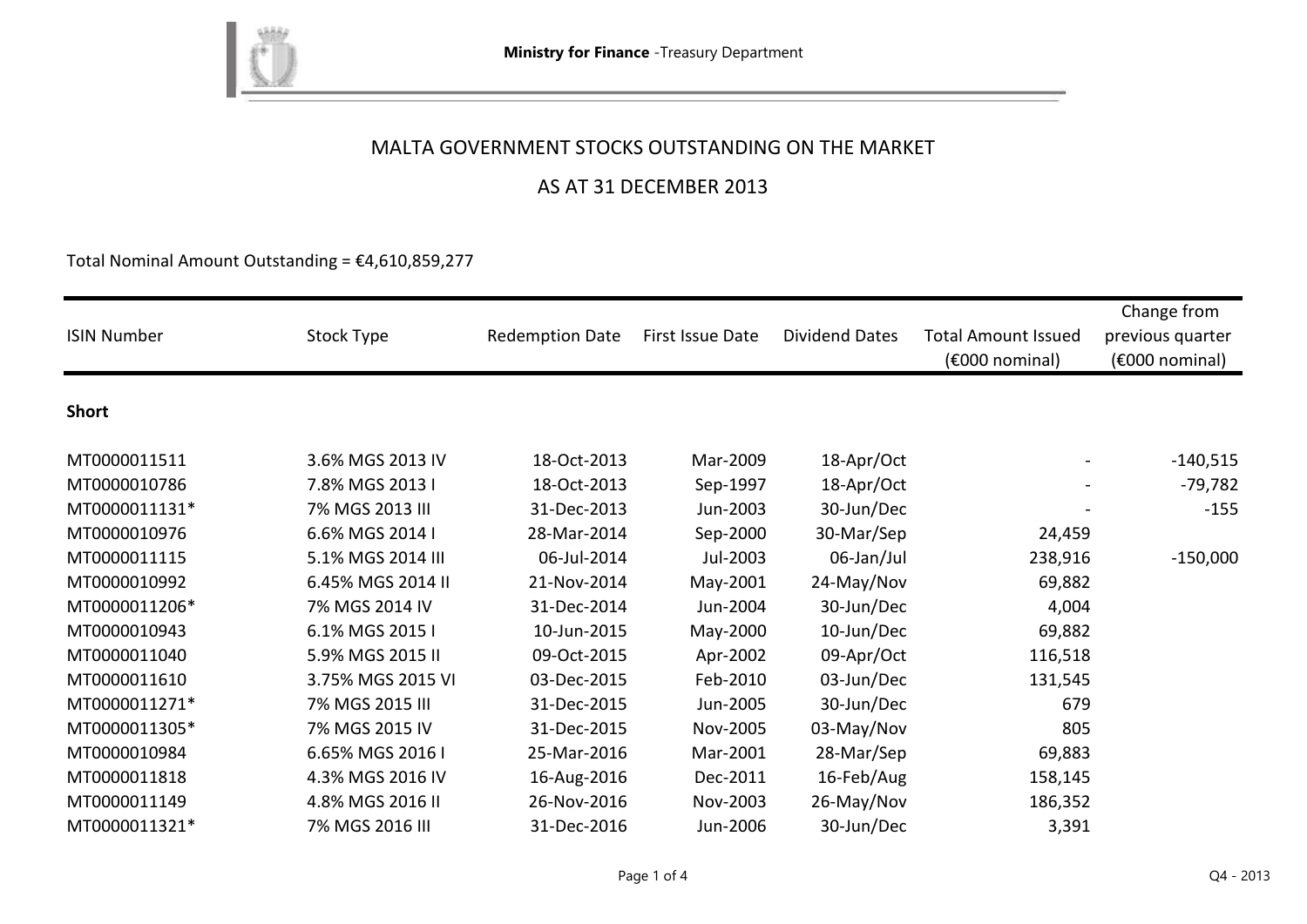

## AS AT 31 DECEMBER 2013

Total Nominal Amount Outstanding =  $£4,610,859,277$ 

| <b>ISIN Number</b> | Stock Type        | <b>Redemption Date</b> | First Issue Date | <b>Dividend Dates</b> | <b>Total Amount Issued</b><br>(€000 nominal) | Change from<br>previous quarter<br>$(6000)$ nominal) |
|--------------------|-------------------|------------------------|------------------|-----------------------|----------------------------------------------|------------------------------------------------------|
| <b>Short</b>       |                   |                        |                  |                       |                                              |                                                      |
| MT0000011511       | 3.6% MGS 2013 IV  | 18-Oct-2013            | Mar-2009         | 18-Apr/Oct            |                                              | $-140,515$                                           |
| MT0000010786       | 7.8% MGS 2013 I   | 18-Oct-2013            | Sep-1997         | 18-Apr/Oct            |                                              | $-79,782$                                            |
| MT0000011131*      | 7% MGS 2013 III   | 31-Dec-2013            | Jun-2003         | 30-Jun/Dec            |                                              | $-155$                                               |
| MT0000010976       | 6.6% MGS 2014 I   | 28-Mar-2014            | Sep-2000         | 30-Mar/Sep            | 24,459                                       |                                                      |
| MT0000011115       | 5.1% MGS 2014 III | 06-Jul-2014            | Jul-2003         | 06-Jan/Jul            | 238,916                                      | $-150,000$                                           |
| MT0000010992       | 6.45% MGS 2014 II | 21-Nov-2014            | May-2001         | 24-May/Nov            | 69,882                                       |                                                      |
| MT0000011206*      | 7% MGS 2014 IV    | 31-Dec-2014            | Jun-2004         | 30-Jun/Dec            | 4,004                                        |                                                      |
| MT0000010943       | 6.1% MGS 2015 I   | 10-Jun-2015            | May-2000         | 10-Jun/Dec            | 69,882                                       |                                                      |
| MT0000011040       | 5.9% MGS 2015 II  | 09-Oct-2015            | Apr-2002         | 09-Apr/Oct            | 116,518                                      |                                                      |
| MT0000011610       | 3.75% MGS 2015 VI | 03-Dec-2015            | Feb-2010         | 03-Jun/Dec            | 131,545                                      |                                                      |
| MT0000011271*      | 7% MGS 2015 III   | 31-Dec-2015            | Jun-2005         | 30-Jun/Dec            | 679                                          |                                                      |
| MT0000011305*      | 7% MGS 2015 IV    | 31-Dec-2015            | Nov-2005         | 03-May/Nov            | 805                                          |                                                      |
| MT0000010984       | 6.65% MGS 2016 I  | 25-Mar-2016            | Mar-2001         | 28-Mar/Sep            | 69,883                                       |                                                      |
| MT0000011818       | 4.3% MGS 2016 IV  | 16-Aug-2016            | Dec-2011         | 16-Feb/Aug            | 158,145                                      |                                                      |
| MT0000011149       | 4.8% MGS 2016 II  | 26-Nov-2016            | Nov-2003         | 26-May/Nov            | 186,352                                      |                                                      |
| MT0000011321*      | 7% MGS 2016 III   | 31-Dec-2016            | Jun-2006         | 30-Jun/Dec            | 3,391                                        |                                                      |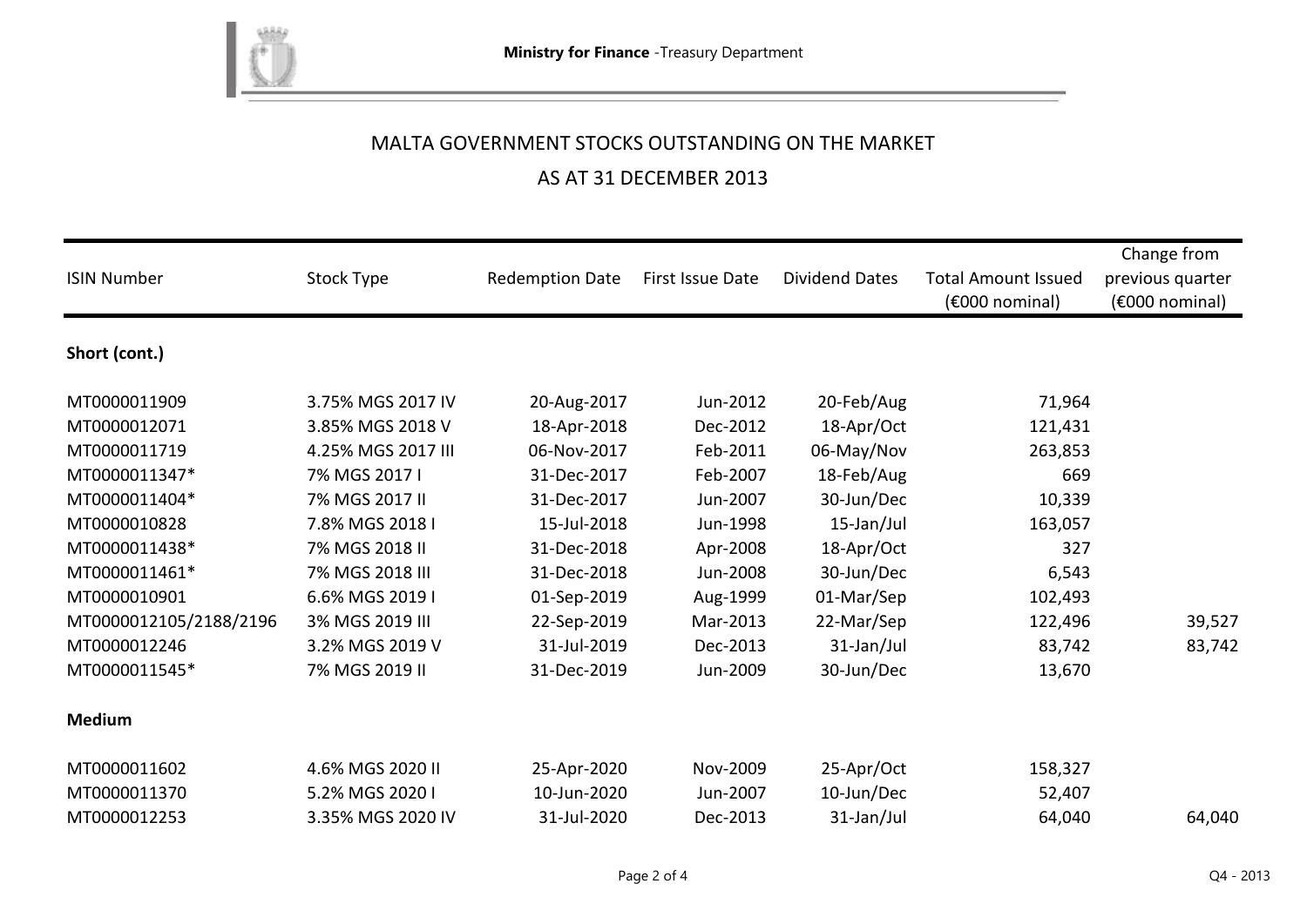

### AS AT 31 DECEMBER 2013

| <b>ISIN Number</b>     | Stock Type         | <b>Redemption Date</b> | First Issue Date | <b>Dividend Dates</b> | <b>Total Amount Issued</b><br>(€000 nominal) | Change from<br>previous quarter<br>(€000 nominal) |
|------------------------|--------------------|------------------------|------------------|-----------------------|----------------------------------------------|---------------------------------------------------|
| Short (cont.)          |                    |                        |                  |                       |                                              |                                                   |
| MT0000011909           | 3.75% MGS 2017 IV  | 20-Aug-2017            | Jun-2012         | 20-Feb/Aug            | 71,964                                       |                                                   |
| MT0000012071           | 3.85% MGS 2018 V   | 18-Apr-2018            | Dec-2012         | 18-Apr/Oct            | 121,431                                      |                                                   |
| MT0000011719           | 4.25% MGS 2017 III | 06-Nov-2017            | Feb-2011         | 06-May/Nov            | 263,853                                      |                                                   |
| MT0000011347*          | 7% MGS 2017 I      | 31-Dec-2017            | Feb-2007         | 18-Feb/Aug            | 669                                          |                                                   |
| MT0000011404*          | 7% MGS 2017 II     | 31-Dec-2017            | Jun-2007         | 30-Jun/Dec            | 10,339                                       |                                                   |
| MT0000010828           | 7.8% MGS 2018 I    | 15-Jul-2018            | Jun-1998         | 15-Jan/Jul            | 163,057                                      |                                                   |
| MT0000011438*          | 7% MGS 2018 II     | 31-Dec-2018            | Apr-2008         | 18-Apr/Oct            | 327                                          |                                                   |
| MT0000011461*          | 7% MGS 2018 III    | 31-Dec-2018            | Jun-2008         | 30-Jun/Dec            | 6,543                                        |                                                   |
| MT0000010901           | 6.6% MGS 2019 I    | 01-Sep-2019            | Aug-1999         | 01-Mar/Sep            | 102,493                                      |                                                   |
| MT0000012105/2188/2196 | 3% MGS 2019 III    | 22-Sep-2019            | Mar-2013         | 22-Mar/Sep            | 122,496                                      | 39,527                                            |
| MT0000012246           | 3.2% MGS 2019 V    | 31-Jul-2019            | Dec-2013         | 31-Jan/Jul            | 83,742                                       | 83,742                                            |
| MT0000011545*          | 7% MGS 2019 II     | 31-Dec-2019            | Jun-2009         | 30-Jun/Dec            | 13,670                                       |                                                   |
| <b>Medium</b>          |                    |                        |                  |                       |                                              |                                                   |
| MT0000011602           | 4.6% MGS 2020 II   | 25-Apr-2020            | Nov-2009         | 25-Apr/Oct            | 158,327                                      |                                                   |
| MT0000011370           | 5.2% MGS 2020 I    | 10-Jun-2020            | Jun-2007         | 10-Jun/Dec            | 52,407                                       |                                                   |
| MT0000012253           | 3.35% MGS 2020 IV  | 31-Jul-2020            | Dec-2013         | 31-Jan/Jul            | 64,040                                       | 64,040                                            |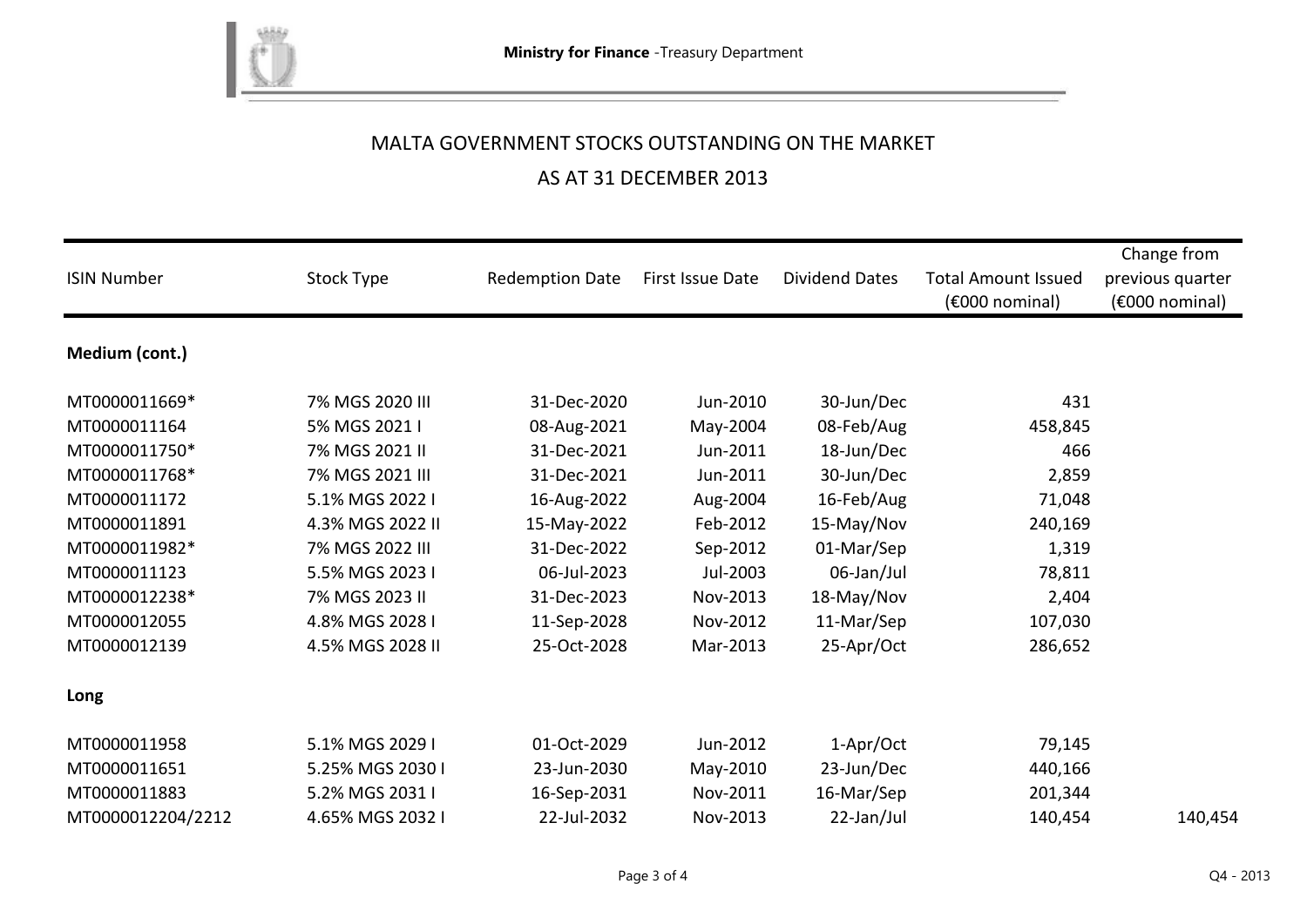

### AS AT 31 DECEMBER 2013

| <b>ISIN Number</b> | Stock Type       | <b>Redemption Date</b> | First Issue Date | <b>Dividend Dates</b> | <b>Total Amount Issued</b><br>$(6000)$ nominal) | Change from<br>previous quarter<br>(€000 nominal) |
|--------------------|------------------|------------------------|------------------|-----------------------|-------------------------------------------------|---------------------------------------------------|
| Medium (cont.)     |                  |                        |                  |                       |                                                 |                                                   |
| MT0000011669*      | 7% MGS 2020 III  | 31-Dec-2020            | Jun-2010         | 30-Jun/Dec            | 431                                             |                                                   |
| MT0000011164       | 5% MGS 2021 I    | 08-Aug-2021            | May-2004         | 08-Feb/Aug            | 458,845                                         |                                                   |
| MT0000011750*      | 7% MGS 2021 II   | 31-Dec-2021            | Jun-2011         | 18-Jun/Dec            | 466                                             |                                                   |
| MT0000011768*      | 7% MGS 2021 III  | 31-Dec-2021            | Jun-2011         | 30-Jun/Dec            | 2,859                                           |                                                   |
| MT0000011172       | 5.1% MGS 2022 I  | 16-Aug-2022            | Aug-2004         | 16-Feb/Aug            | 71,048                                          |                                                   |
| MT0000011891       | 4.3% MGS 2022 II | 15-May-2022            | Feb-2012         | 15-May/Nov            | 240,169                                         |                                                   |
| MT0000011982*      | 7% MGS 2022 III  | 31-Dec-2022            | Sep-2012         | 01-Mar/Sep            | 1,319                                           |                                                   |
| MT0000011123       | 5.5% MGS 2023 I  | 06-Jul-2023            | Jul-2003         | 06-Jan/Jul            | 78,811                                          |                                                   |
| MT0000012238*      | 7% MGS 2023 II   | 31-Dec-2023            | Nov-2013         | 18-May/Nov            | 2,404                                           |                                                   |
| MT0000012055       | 4.8% MGS 2028 I  | 11-Sep-2028            | Nov-2012         | 11-Mar/Sep            | 107,030                                         |                                                   |
| MT0000012139       | 4.5% MGS 2028 II | 25-Oct-2028            | Mar-2013         | 25-Apr/Oct            | 286,652                                         |                                                   |
| Long               |                  |                        |                  |                       |                                                 |                                                   |
| MT0000011958       | 5.1% MGS 2029 I  | 01-Oct-2029            | Jun-2012         | 1-Apr/Oct             | 79,145                                          |                                                   |
| MT0000011651       | 5.25% MGS 2030 I | 23-Jun-2030            | May-2010         | 23-Jun/Dec            | 440,166                                         |                                                   |
| MT0000011883       | 5.2% MGS 2031 I  | 16-Sep-2031            | Nov-2011         | 16-Mar/Sep            | 201,344                                         |                                                   |
| MT0000012204/2212  | 4.65% MGS 2032 I | 22-Jul-2032            | Nov-2013         | 22-Jan/Jul            | 140,454                                         | 140,454                                           |